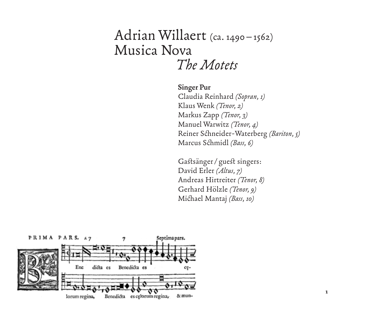# Adrian Willaert (ca. 1490–1562) Musica Nova *The Motets*

**Singer Pur** Claudia Reinhard *(Sopran, 1)* Klaus Wenk *( Tenor, 2)* Markus Zapp *( Tenor, 3)* Manuel Warwitz *( Tenor, 4)* Reiner Schneider-Waterberg *(Bariton, 5)* Marcus Schmidl *(Bass, 6)*

Gastsänger/ guest singers: David Erler *(Altus, 7)* Andreas Hirtreiter *( Tenor, 8)* Gerhard Hölzle *( Tenor, 9)* Michael Mantaj *(Bass, 10)*

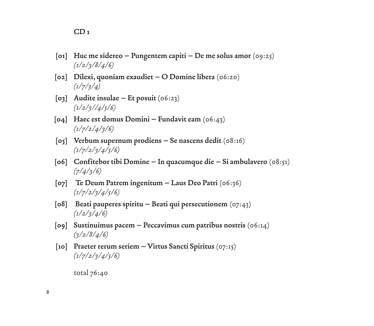- **[01] Huc me sidereo Pungentem capiti De me solus amor** (09:25) *(1/2/3/8/4/6)*
- **[02] Dilexi, quoniam exaudiet O Domine libera** (06:20) *(1/7/3/4)*
- **[03] Audite insulae Et posuit** (06:23) *(1/2/3//4/5/6)*
- **[04] Haec est domus Domini Fundavit eam** (06:43) *(1/7/2/4/3/6)*
- **[05] Verbum supernum prodiens Se nascens dedit** (08:16) *(1/7/2/3/4/5/6)*
- **[06] Confitebor tibi Domine In quacumque die Si ambulavero** (08:51) *(7/4/3/6)*
- **[07] Te Deum Patrem ingenitum Laus Deo Patri** (06:36) *(1/7/2/3/4/5/6)*
- **[08] Beati pauperes spiritu Beati qui persecutionem** (07:43) *(1/2/3/4/6)*
- **[09] Sustinuimus pacem Peccavimus cum patribus nostris** (06:14) *(3/2/8/4/6)*
- **[10] Praeter rerum seriem Virtus Sancti Spiritus** (07:15) *(1/7/2/3/4/5/6)*

total 76:40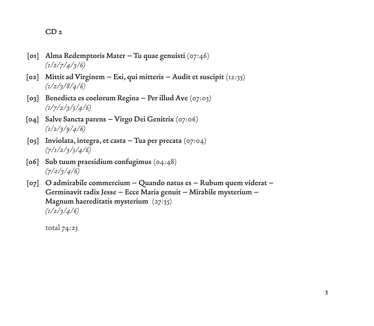### **CD 2**

- **[01] Alma Redemptoris Mater Tu quae genuisti** (07:46) *(1/2/7/4/3/6)*
- **[02] Mittit ad Virginem Exi, qui mitteris Audit et suscipit** (12:35) *(1/2/3/8/4/6)*
- **[03] Benedicta es coelorum Regina Per illud Ave** (07:03) *(1/7/2/3/5/4/6)*
- **[04] Salve Sancta parens Virgo Dei Genitrix** (07:06) *(1/2/3/9/4/6)*
- **[05] Inviolata, integra, et casta Tua per precata** (07:04) *(7/1/2/3/5/4/6)*
- **[06] Sub tuum praesidium confugimus** (04:48) *(7/2/3/4/6)*
- **[07] O admirabile commercium Quando natus es Rubum quem viderat Germinavit radix Jesse – Ecce Maria genuit – Mirabile mysterium – Magnum haereditatis mysterium** (27:35) *(1/2/3/4/6)*

total 74:25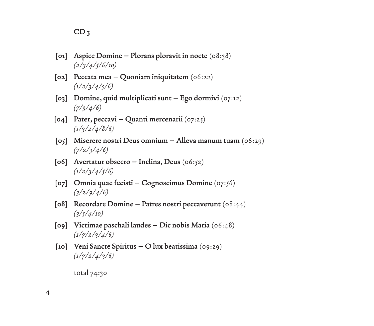- **[01] Aspice Domine Plorans ploravit in nocte** (08:38) *(2/3/4/5/6/10)*
- **[02] Peccata mea Quoniam iniquitatem** (06:22) *(1/2/3/4/5/6)*
- **[03] Domine, quid multiplicati sunt Ego dormivi** (07:12) *(7/3/4/6)*
- **[04] Pater, peccavi Quanti mercenarii** (07:25) *(1/3/2/4/8/6)*
- **[05] Miserere nostri Deus omnium Alleva manum tuam** (06:29) *(7/2/3/4/6)*
- **[06] Avertatur obsecro Inclina, Deus** (06:52) *(1/2/3/4/5/6)*
- **[07] Omnia quae fecisti Cognoscimus Domine** (07:56) *(3/2/9/4/6)*
- **[08] Recordare Domine Patres nostri peccaverunt** (08:44) *(3/5/4/10)*
- **[09] Victimae paschali laudes Dic nobis Maria** (06:48) *(1/7/2/3/4/6)*
- **[10] Veni Sancte Spiritus O lux beatissima** (09:29) *(1/7/2/4/3/6)*

total 74:30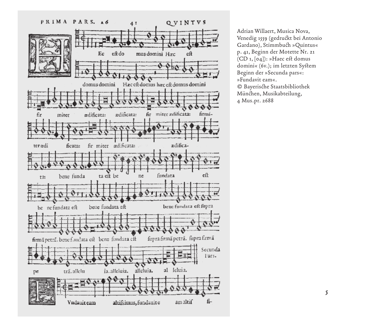

Adrian Willaert, Musica Nova, Venedig 1559 (gedruckt bei Antonio Gardano), Stimmbuch »Quintus« p. 41, Beginn der Motette Nr. 21 (CD 1, [04]): »Haec est domus domini« (6v.); im letzten System Beginn der »Secunda pars«: »Fundavit eam«. © Bayerische Staatsbibliothek München, Musikabteilung, 4 Mus.pr. 2688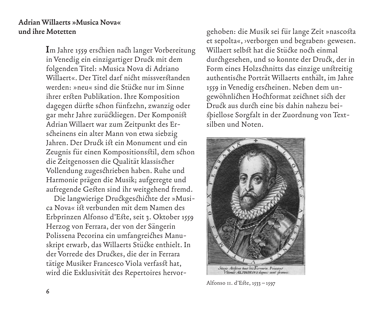## **Adrian Willaerts »Musica Nova« und ihre Motetten**

**I**m Jahre 1559 erschien nach langer Vorbereitung in Venedig ein einzigartiger Druck mit dem folgenden Titel: »Musica Nova di Adriano Willaert«. Der Titel darf nicht missverstanden werden: »neu« sind die Stücke nur im Sinne ihrer ersten Publikation. Ihre Komposition dagegen dürfte schon fünfzehn, zwanzig oder gar mehr Jahre zurückliegen. Der Komponist Adrian Willaert war zum Zeitpunkt des Erscheinens ein alter Mann von etwa siebzig Jahren. Der Druck ist ein Monument und ein Zeugnis für einen Kompositionsstil, dem schon die Zeitgenossen die Qualität klassischer Vollendung zugeschrieben haben. Ruhe und Harmonie prägen die Musik; aufgeregte und aufregende Gesten sind ihr weitgehend fremd.

Die langwierige Druckgeschichte der »Musica Nova« ist verbunden mit dem Namen des Erbprinzen Alfonso d'Este, seit 3. Oktober 1559 Herzog von Ferrara, der von der Sängerin Polissena Pecorina ein umfangreiches Manuskript erwarb, das Willaerts Stücke enthielt. In der Vorrede des Druckes, die der in Ferrara tätige Musiker Francesco Viola verfasst hat, wird die Exklusivität des Repertoires hervorgehoben: die Musik sei für lange Zeit »nascosta et sepolta«, ›verborgen und begraben‹ gewesen. Willaert selbst hat die Stücke noch einmal durchgesehen, und so konnte der Druck, der in Form eines Holzschnitts das einzige unstreitig authentische Porträt Willaerts enthält, im Jahre 1559 in Venedig erscheinen. Neben dem ungewöhnlichen Hochformat zeichnet sich der Druck aus durch eine bis dahin nahezu beispiellose Sorgfalt in der Zuordnung von Textsilben und Noten.



Alfonso ii. d'Este, 1533 –1597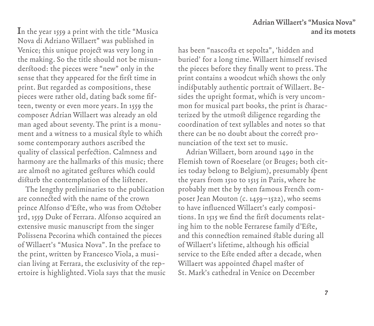**Adrian Willaert's "Musica Nova" I**n the year 1559 a print with the title "Musica **and its motets**

Nova di Adriano Willaert" was published in Venice; this unique project was very long in the making. So the title should not be misunderstood: the pieces were "new" only in the sense that they appeared for the first time in print. But regarded as compositions, these pieces were rather old, dating back some fifteen, twenty or even more years. In 1559 the composer Adrian Willaert was already an old man aged about seventy. The print is a monument and a witness to a musical style to which some contemporary authors ascribed the quality of classical perfection. Calmness and harmony are the hallmarks of this music; there are almost no agitated gestures which could disturb the contemplation of the listener.

The lengthy preliminaries to the publication are connected with the name of the crown prince Alfonso d'Este, who was from October 3rd, 1559 Duke of Ferrara. Alfonso acquired an extensive music manuscript from the singer Polissena Pecorina which contained the pieces of Willaert's "Musica Nova". In the preface to the print, written by Francesco Viola, a musician living at Ferrara, the exclusivity of the repertoire is highlighted. Viola says that the music

has been "nascosta et sepolta", 'hidden and buried' for a long time. Willaert himself revised the pieces before they finally went to press. The print contains a woodcut which shows the only indisputably authentic portrait of Willaert. Besides the upright format, which is very uncommon for musical part books, the print is characterized by the utmost diligence regarding the coordination of text syllables and notes so that there can be no doubt about the correct pronunciation of the text set to music.

Adrian Willaert, born around 1490 in the Flemish town of Roeselare (or Bruges; both cities today belong to Belgium), presumably spent the years from 1510 to 1515 in Paris, where he probably met the by then famous French composer Jean Mouton (c. 1459–1522), who seems to have influenced Willaert's early compositions. In 1515 we find the first documents relating him to the noble Ferrarese family d'Este, and this connection remained stable during all of Willaert's lifetime, although his official service to the Este ended after a decade, when Willaert was appointed chapel master of St. Mark's cathedral in Venice on December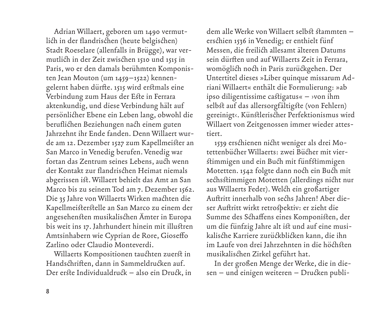Adrian Willaert, geboren um 1490 vermutlich in der flandrischen (heute belgischen) Stadt Roeselare (allenfalls in Brügge), war vermutlich in der Zeit zwischen 1510 und 1515 in Paris, wo er den damals berühmten Komponisten Jean Mouton (um 1459–1522) kennengelernt haben dürfte. 1515 wird erstmals eine Verbindung zum Haus der Este in Ferrara aktenkundig, und diese Verbindung hält auf persönlicher Ebene ein Leben lang, obwohl die beruflichen Beziehungen nach einem guten Jahrzehnt ihr Ende fanden. Denn Willaert wurde am 12. Dezember 1527 zum Kapellmeister an San Marco in Venedig berufen. Venedig war fortan das Zentrum seines Lebens, auch wenn der Kontakt zur flandrischen Heimat niemals abgerissen ist. Willaert behielt das Amt an San Marco bis zu seinem Tod am 7. Dezember 1562. Die 35 Jahre von Willaerts Wirken machten die Kapellmeisterstelle an San Marco zu einem der angesehensten musikalischen Ämter in Europa bis weit ins 17. Jahrhundert hinein mit illustren Amtsinhabern wie Cyprian de Rore, Gioseffo Zarlino oder Claudio Monteverdi.

Willaerts Kompositionen tauchten zuerst in Handschriften, dann in Sammeldrucken auf. Der erste Individualdruck – also ein Druck, in dem alle Werke von Willaert selbst stammten – erschien 1536 in Venedig; er enthielt fünf Messen, die freilich allesamt älteren Datums sein dürften und auf Willaerts Zeit in Ferrara, womöglich noch in Paris zurückgehen. Der Untertitel dieses »Liber quinque missarum Adriani Willaert« enthält die Formulierung: »ab ipso diligentissime castigatus« – ›von ihm selbst auf das allersorgfältigste (von Fehlern) gereinigt‹. Künstlerischer Perfektionismus wird Willaert von Zeitgenossen immer wieder attestiert.

1539 erschienen nicht weniger als drei Motettenbücher Willaerts: zwei Bücher mit vierstimmigen und ein Buch mit fünfstimmigen Motetten. 1542 folgte dann noch ein Buch mit sechsstimmigen Motetten (allerdings nicht nur aus Willaerts Feder). Welch ein großartiger Auftritt innerhalb von sechs Jahren! Aber dieser Auftritt wirkt retrospektiv: er zieht die Summe des Schaffens eines Komponisten, der um die fünfzig Jahre alt ist und auf eine musikalische Karriere zurückblicken kann, die ihn im Laufe von drei Jahrzehnten in die höchsten musikalischen Zirkel geführt hat.

In der großen Menge der Werke, die in diesen – und einigen weiteren – Drucken publi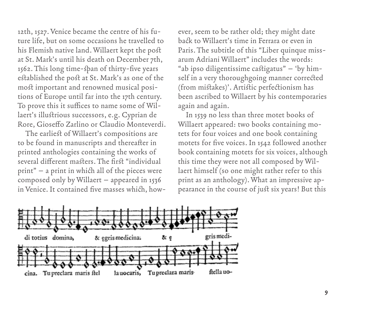12th, 1527. Venice became the centre of his future life, but on some occasions he travelled to his Flemish native land. Willaert kept the post at St. Mark's until his death on December 7th, 1562. This long time-span of thirty-five years established the post at St. Mark's as one of the most important and renowned musical positions of Europe until far into the 17th century. To prove this it suffices to name some of Willaert's illustrious successors, e.g. Cyprian de Rore, Gioseffo Zarlino or Claudio Monteverdi.

The earliest of Willaert's compositions are to be found in manuscripts and thereafter in printed anthologies containing the works of several different masters. The first "individual print" – a print in which all of the pieces were composed only by Willaert – appeared in 1536 in Venice. It contained five masses which, however, seem to be rather old; they might date back to Willaert's time in Ferrara or even in Paris. The subtitle of this "Liber quinque missarum Adriani Willaert" includes the words: "ab ipso diligentissime castigatus" – 'by himself in a very thoroughgoing manner corrected (from mistakes)'. Artistic perfectionism has been ascribed to Willaert by his contemporaries again and again.

In 1539 no less than three motet books of Willaert appeared: two books containing motets for four voices and one book containing motets for five voices. In 1542 followed another book containing motets for six voices, although this time they were not all composed by Willaert himself (so one might rather refer to this print as an anthology). What an impressive appearance in the course of just six years! But this

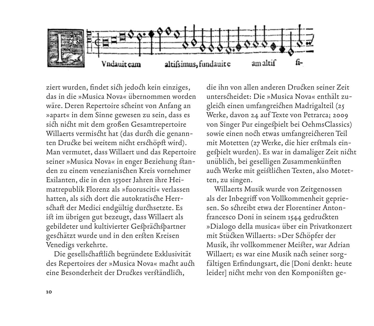

ziert wurden, findet sich jedoch kein einziges, das in die »Musica Nova« übernommen worden wäre. Deren Repertoire scheint von Anfang an »apart« in dem Sinne gewesen zu sein, dass es sich nicht mit dem großen Gesamtrepertoire Willaerts vermischt hat (das durch die genannten Drucke bei weitem nicht erschöpft wird). Man vermutet, dass Willaert und das Repertoire seiner »Musica Nova« in enger Beziehung standen zu einem venezianischen Kreis vornehmer Exilanten, die in den 1530er Jahren ihre Heimatrepublik Florenz als »fuorusciti« verlassen hatten, als sich dort die autokratische Herrschaft der Medici endgültig durchsetzte. Es ist im übrigen gut bezeugt, dass Willaert als gebildeter und kultivierter Gesprächspartner geschätzt wurde und in den ersten Kreisen Venedigs verkehrte.

Die gesellschaftlich begründete Exklusivität des Repertoires der »Musica Nova« macht auch eine Besonderheit der Druckes verständlich,

die ihn von allen anderen Drucken seiner Zeit unterscheidet: Die »Musica Nova« enthält zugleich einen umfangreichen Madrigalteil (25 Werke, davon 24 auf Texte von Petrarca; 2009 von Singer Pur eingespielt bei OehmsClassics) sowie einen noch etwas umfangreicheren Teil mit Motetten (27 Werke, die hier erstmals eingespielt wurden). Es war in damaliger Zeit nicht unüblich, bei geselligen Zusammenkünften auch Werke mit geistlichen Texten, also Motetten, zu singen.

Willaerts Musik wurde von Zeitgenossen als der Inbegriff von Vollkommenheit gepriesen. So schreibt etwa der Florentiner Antonfrancesco Doni in seinem 1544 gedruckten »Dialogo della musica« über ein Privatkonzert mit Stücken Willaerts: »Der Schöpfer der Musik, ihr vollkommener Meister, war Adrian Willaert; es war eine Musik nach seiner sorgfältigen Erfindungsart, die [Doni denkt: heute leider] nicht mehr von den Komponisten ge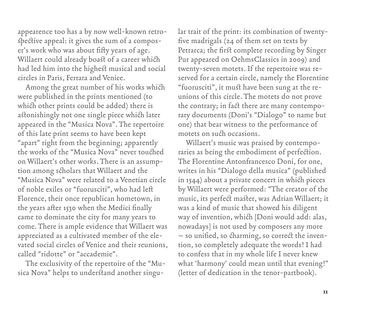appearence too has a by now well-known retrospective appeal: it gives the sum of a composer's work who was about fifty years of age. Willaert could already boast of a career which had led him into the highest musical and social circles in Paris, Ferrara and Venice.

Among the great number of his works which were published in the prints mentioned (to which other prints could be added) there is astonishingly not one single piece which later appeared in the "Musica Nova". The repertoire of this late print seems to have been kept "apart" right from the beginning; apparently the works of the "Musica Nova" never touched on Willaert's other works. There is an assumption among scholars that Willaert and the "Musica Nova" were related to a Venetian circle of noble exiles or "fuorusciti", who had left Florence, their once republican hometown, in the years after 1530 when the Medici finally came to dominate the city for many years to come. There is ample evidence that Willaert was appreciated as a cultivated member of the elevated social circles of Venice and their reunions, called "ridotte" or "accademie".

The exclusivity of the repertoire of the "Musica Nova" helps to understand another singular trait of the print: its combination of twentyfive madrigals (24 of them set on texts by Petrarca; the first complete recording by Singer Pur appeared on OehmsClassics in 2009) and twenty-seven motets. If the repertoire was reserved for a certain circle, namely the Florentine "fuorusciti", it must have been sung at the reunions of this circle. The motets do not prove the contrary; in fact there are many contemporary documents (Doni's "Dialogo" to name but one) that bear witness to the performance of motets on such occasions.

Willaert's music was praised by contemporaries as being the embodiment of perfection. The Florentine Antonfrancesco Doni, for one, writes in his "Dialogo della musica" (published in 1544) about a private concert in which pieces by Willaert were performed: "The creator of the music, its perfect master, was Adrian Willaert; it was a kind of music that showed his diligent way of invention, which [Doni would add: alas, nowadays] is not used by composers any more – so unified, so charming, so correct the invention, so completely adequate the words! I had to confess that in my whole life I never knew what 'harmony' could mean until that evening!" (letter of dedication in the tenor-partbook).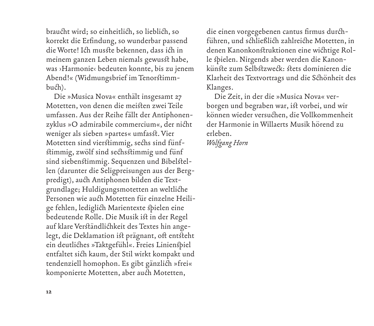braucht wird; so einheitlich, so lieblich, so korrekt die Erfindung, so wunderbar passend die Worte! Ich musste bekennen, dass ich in meinem ganzen Leben niemals gewusst habe, was ›Harmonie‹ bedeuten konnte, bis zu jenem Abend!« (Widmungsbrief im Tenorstimmbuch).

Die »Musica Nova« enthält insgesamt 27 Motetten, von denen die meisten zwei Teile umfassen. Aus der Reihe fällt der Antiphonenzyklus »O admirabile commercium«, der nicht weniger als sieben »partes« umfasst. Vier Motetten sind vierstimmig, sechs sind fünfstimmig, zwölf sind sechsstimmig und fünf sind siebenstimmig. Sequenzen und Bibelstellen (darunter die Seligpreisungen aus der Bergpredigt), auch Antiphonen bilden die Textgrundlage; Huldigungsmotetten an weltliche Personen wie auch Motetten für einzelne Heilige fehlen, lediglich Marientexte spielen eine bedeutende Rolle. Die Musik ist in der Regel auf klare Verständlichkeit des Textes hin angelegt, die Deklamation ist prägnant, oft entsteht ein deutliches »Taktgefühl«. Freies Linienspiel entfaltet sich kaum, der Stil wirkt kompakt und tendenziell homophon. Es gibt gänzlich »frei« komponierte Motetten, aber auch Motetten,

die einen vorgegebenen cantus firmus durchführen, und schließlich zahlreiche Motetten, in denen Kanonkonstruktionen eine wichtige Rolle spielen. Nirgends aber werden die Kanonkünste zum Selbstzweck: stets dominieren die Klarheit des Textvortrags und die Schönheit des Klanges.

Die Zeit, in der die »Musica Nova« verborgen und begraben war, ist vorbei, und wir können wieder versuchen, die Vollkommenheit der Harmonie in Willaerts Musik hörend zu erleben.

*Wolfgang Horn*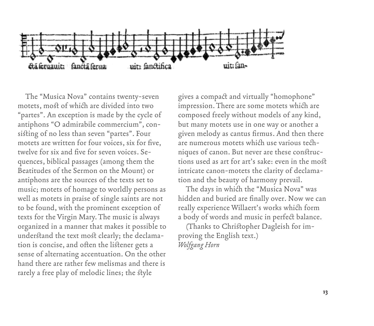

The "Musica Nova" contains twenty-seven motets, most of which are divided into two "partes". An exception is made by the cycle of antiphons "O admirabile commercium", consisting of no less than seven "partes". Four motets are written for four voices, six for five, twelve for six and five for seven voices. Sequences, biblical passages (among them the Beatitudes of the Sermon on the Mount) or antiphons are the sources of the texts set to music; motets of homage to worldly persons as well as motets in praise of single saints are not to be found, with the prominent exception of texts for the Virgin Mary. The music is always organized in a manner that makes it possible to understand the text most clearly; the declamation is concise, and often the listener gets a sense of alternating accentuation. On the other hand there are rather few melismas and there is rarely a free play of melodic lines; the style

gives a compact and virtually "homophone" impression. There are some motets which are composed freely without models of any kind, but many motets use in one way or another a given melody as cantus firmus. And then there are numerous motets which use various techniques of canon. But never are these constructions used as art for art's sake: even in the most intricate canon-motets the clarity of declamation and the beauty of harmony prevail.

The days in which the "Musica Nova" was hidden and buried are finally over. Now we can really experience Willaert's works which form a body of words and music in perfect balance.

(Thanks to Christopher Dagleish for improving the English text.) *Wolfgang Horn*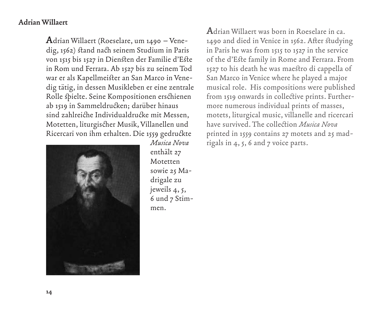# **Adrian Willaert**

**A**drian Willaert (Roeselare, um 1490 – Venedig, 1562) stand nach seinem Studium in Paris von 1515 bis 1527 in Diensten der Familie d'Este in Rom und Ferrara. Ab 1527 bis zu seinem Tod war er als Kapellmeister an San Marco in Venedig tätig, in dessen Musikleben er eine zentrale Rolle spielte. Seine Kompositionen erschienen ab 1519 in Sammeldrucken; darüber hinaus sind zahlreiche Individualdrucke mit Messen, Motetten, liturgischer Musik, Villanellen und Ricercari von ihm erhalten. Die 1559 gedruckte



*Musica Nova* enthält 27 Motetten sowie 25 Madrigale zu jeweils 4, 5, 6 und 7 Stimmen.

**A**drian Willaert was born in Roeselare in ca. 1490 and died in Venice in 1562. After studying in Paris he was from 1515 to 1527 in the service of the d'Este family in Rome and Ferrara. From 1527 to his death he was maestro di cappella of San Marco in Venice where he played a major musical role. His compositions were published from 1519 onwards in collective prints. Furthermore numerous individual prints of masses, motets, liturgical music, villanelle and ricercari have survived. The collection *Musica Nova* printed in 1559 contains 27 motets and 25 madrigals in 4, 5, 6 and 7 voice parts.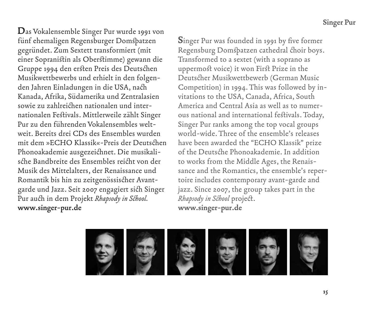**D**as Vokalensemble Singer Pur wurde 1991 von fünf ehemaligen Regensburger Domspatzen gegründet. Zum Sextett transformiert (mit einer Sopranistin als Oberstimme) gewann die Gruppe 1994 den ersten Preis des Deutschen Musikwettbewerbs und erhielt in den folgenden Jahren Einladungen in die USA, nach Kanada, Afrika, Südamerika und Zentralasien sowie zu zahlreichen nationalen und internationalen Festivals. Mittlerweile zählt Singer Pur zu den führenden Vokalensembles weltweit. Bereits drei CDs des Ensembles wurden mit dem »ECHO Klassik«-Preis der Deutschen Phonoakademie ausgezeichnet. Die musikalische Bandbreite des Ensembles reicht von der Musik des Mittelalters, der Renaissance und Romantik bis hin zu zeitgenössischer Avantgarde und Jazz. Seit 2007 engagiert sich Singer Pur auch in dem Projekt *Rhapsody in School.* **www.singer-pur.de**

**S**inger Pur was founded in 1991 by five former Regensburg Domspatzen cathedral choir boys. Transformed to a sextet (with a soprano as uppermost voice) it won First Prize in the Deutscher Musikwettbewerb (German Music Competition) in 1994. This was followed by invitations to the USA, Canada, Africa, South America and Central Asia as well as to numerous national and international festivals. Today, Singer Pur ranks among the top vocal groups world-wide. Three of the ensemble's releases have been awarded the "ECHO Klassik" prize of the Deutsche Phonoakademie. In addition to works from the Middle Ages, the Renaissance and the Romantics, the ensemble's repertoire includes contemporary avant-garde and jazz. Since 2007, the group takes part in the *Rhapsody in School* project. **www.singer-pur.de**

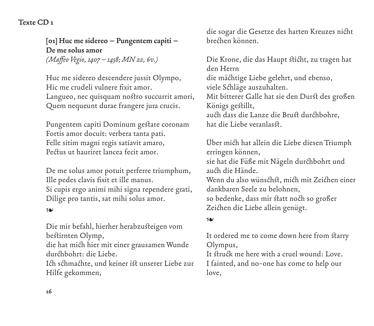# **Texte CD 1**

**[01] Huc me sidereo – Pungentem capiti – De me solus amor** *(Maffeo Vegio, 1407–1458; MN 22, 6v.)*

Huc me sidereo descendere jussit Olympo, Hic me crudeli vulnere fixit amor. Langueo, nec quisquam nostro succurrit amori, Quem nequeunt durae frangere jura crucis.

Pungentem capiti Dominum gestare coronam Fortis amor docuit: verbera tanta pati. Felle sitim magni regis satiavit amaro, Pectus ut hauriret lancea fecit amor.

De me solus amor potuit perferre triumphum, Ille pedes clavis fixit et ille manus. Si cupis ergo animi mihi signa rependere grati, Dilige pro tantis, sat mihi solus amor.

### ❧

Die mir befahl, hierher herabzusteigen vom bestirnten Olymp,

die hat mich hier mit einer grausamen Wunde durchbohrt: die Liebe.

Ich schmachte, und keiner ist unserer Liebe zur Hilfe gekommen,

die sogar die Gesetze des harten Kreuzes nicht brechen können.

Die Krone, die das Haupt sticht, zu tragen hat den Herrn die mächtige Liebe gelehrt, und ebenso, viele Schläge auszuhalten. Mit bitterer Galle hat sie den Durst des großen Königs gestillt, auch dass die Lanze die Brust durchbohre, hat die Liebe veranlasst.

Über mich hat allein die Liebe diesen Triumph erringen können, sie hat die Füße mit Nägeln durchbohrt und auch die Hände. Wenn du also wünschst, mich mit Zeichen einer dankbaren Seele zu belohnen, so bedenke, dass mir statt noch so großer Zeichen die Liebe allein genügt.

### ❧

It ordered me to come down here from starry Olympus,

It struck me here with a cruel wound: Love. I fainted, and no-one has come to help our love,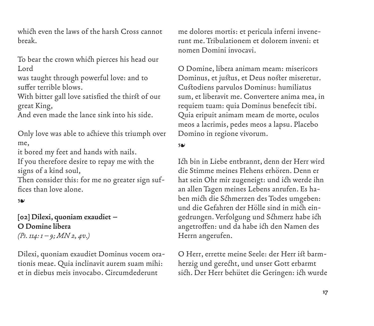which even the laws of the harsh Cross cannot break.

To bear the crown which pierces his head our Lord

was taught through powerful love: and to suffer terrible blows.

With bitter gall love satisfied the thirst of our great King,

And even made the lance sink into his side.

Only love was able to achieve this triumph over me,

it bored my feet and hands with nails.

If you therefore desire to repay me with the signs of a kind soul,

Then consider this: for me no greater sign suffices than love alone.

❧

**[02] Dilexi, quoniam exaudiet – O Domine libera**  *(Ps. 114: 1–9; MN 2, 4v.)*

Dilexi, quoniam exaudiet Dominus vocem orationis meae. Quia inclinavit aurem suam mihi: et in diebus meis invocabo. Circumdederunt

me dolores mortis: et pericula inferni invenerunt me. Tribulationem et dolorem inveni: et nomen Domini invocavi.

O Domine, libera animam meam: misericors Dominus, et justus, et Deus noster miseretur. Custodiens parvulos Dominus: humiliatus sum, et liberavit me. Convertere anima mea, in requiem tuam: quia Dominus benefecit tibi. Quia eripuit animam meam de morte, oculos meos a lacrimis, pedes meos a lapsu. Placebo Domino in regione vivorum.

❧

Ich bin in Liebe entbrannt, denn der Herr wird die Stimme meines Flehens erhören. Denn er hat sein Ohr mir zugeneigt: und ich werde ihn an allen Tagen meines Lebens anrufen. Es haben mich die Schmerzen des Todes umgeben: und die Gefahren der Hölle sind in mich eingedrungen. Verfolgung und Schmerz habe ich angetroffen: und da habe ich den Namen des Herrn angerufen.

O Herr, errette meine Seele: der Herr ist barmherzig und gerecht, und unser Gott erbarmt sich. Der Herr behütet die Geringen: ich wurde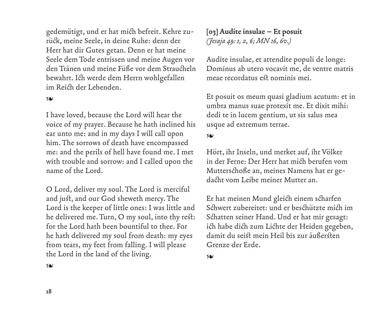gedemütigt, und er hat mich befreit. Kehre zurück, meine Seele, in deine Ruhe: denn der Herr hat dir Gutes getan. Denn er hat meine Seele dem Tode entrissen und meine Augen vor den Tränen und meine Füße vor dem Straucheln bewahrt. Ich werde dem Herrn wohlgefallen im Reich der Lebenden.

#### ❧

I have loved, because the Lord will hear the voice of my prayer. Because he hath inclined his ear unto me: and in my days I will call upon him. The sorrows of death have encompassed me: and the perils of hell have found me. I met with trouble and sorrow: and I called upon the name of the Lord.

O Lord, deliver my soul. The Lord is merciful and just, and our God sheweth mercy. The Lord is the keeper of little ones: I was little and he delivered me. Turn, O my soul, into thy rest: for the Lord hath been bountiful to thee. For he hath delivered my soul from death: my eyes from tears, my feet from falling. I will please the Lord in the land of the living.

**[03] Audite insulae – Et posuit**  *(Jesaja 49: 1, 2, 6; MN 16, 6v.)*

Audite insulae, et attendite populi de longe: Dominus ab utero vocavit me, de ventre matris meae recordatus est nominis mei.

Et posuit os meum quasi gladium acutum: et in umbra manus suae protexit me. Et dixit mihi: dedi te in lucem gentium, ut sis salus mea usque ad extremum terrae.

#### ❧

Hört, ihr Inseln, und merket auf, ihr Völker in der Ferne: Der Herr hat mich berufen vom Mutterschoße an, meines Namens hat er gedacht vom Leibe meiner Mutter an.

Er hat meinen Mund gleich einem scharfen Schwert zubereitet: und er beschützte mich im Schatten seiner Hand. Und er hat mir gesagt: ich habe dich zum Lichte der Heiden gegeben, damit du seist mein Heil bis zur äußersten Grenze der Erde.

❧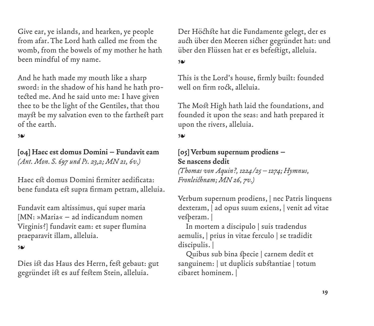Give ear, ye islands, and hearken, ye people from afar. The Lord hath called me from the womb, from the bowels of my mother he hath been mindful of my name.

And he hath made my mouth like a sharp sword: in the shadow of his hand he hath protected me. And he said unto me: I have given thee to be the light of the Gentiles, that thou mayst be my salvation even to the farthest part of the earth.

## ❧

**[04] Haec est domus Domini – Fundavit eam**  *(Ant. Mon. S. 697 und Ps. 23,2; MN 21, 6v.)*

Haec est domus Domini firmiter aedificata: bene fundata est supra firmam petram, alleluia.

Fundavit eam altissimus, qui super maria [MN: »Maria« – ad indicandum nomen Virginis?] fundavit eam: et super flumina praeparavit illam, alleluia.

### ❧

Dies ist das Haus des Herrn, fest gebaut: gut gegründet ist es auf festem Stein, alleluia.

Der Höchste hat die Fundamente gelegt, der es auch über den Meeren sicher gegründet hat: und über den Flüssen hat er es befestigt, alleluia.

### ❧

This is the Lord's house, firmly built: founded well on firm rock, alleluia.

The Most High hath laid the foundations, and founded it upon the seas: and hath prepared it upon the rivers, alleluia.

#### ❧

# **[05] Verbum supernum prodiens – Se nascens dedit**  *(Thomas von Aquin?, 1224/25–1274; Hymnus,*

*Fronleichnam; MN 26, 7v.)*

Verbum supernum prodiens, | nec Patris linquens dexteram, | ad opus suum exiens, | venit ad vitae vesperam. |

In mortem a discipulo | suis tradendus aemulis, | prius in vitae ferculo | se tradidit discipulis. |

Quibus sub bina specie | carnem dedit et sanguinem: | ut duplicis substantiae | totum cibaret hominem. |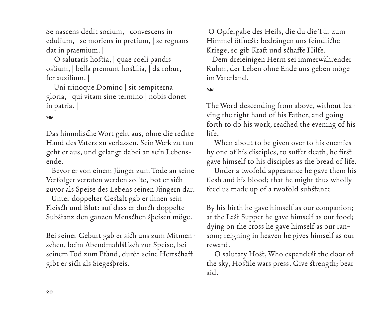Se nascens dedit socium, | convescens in edulium, | se moriens in pretium, | se regnans dat in praemium. |

O salutaris hostia, | quae coeli pandis ostium, | bella premunt hostilia, | da robur, fer auxilium. |

Uni trinoque Domino | sit sempiterna gloria, | qui vitam sine termino | nobis donet in patria. |

### ❧

Das himmlische Wort geht aus, ohne die rechte Hand des Vaters zu verlassen. Sein Werk zu tun geht er aus, und gelangt dabei an sein Lebensende.

 Bevor er von einem Jünger zum Tode an seine Verfolger verraten werden sollte, bot er sich zuvor als Speise des Lebens seinen Jüngern dar.

 Unter doppelter Gestalt gab er ihnen sein Fleisch und Blut: auf dass er durch doppelte Substanz den ganzen Menschen speisen möge.

Bei seiner Geburt gab er sich uns zum Mitmenschen, beim Abendmahlstisch zur Speise, bei seinem Tod zum Pfand, durch seine Herrschaft gibt er sich als Siegespreis.

 O Opfergabe des Heils, die du die Tür zum Himmel öffnest: bedrängen uns feindliche Kriege, so gib Kraft und schaffe Hilfe.

 Dem dreieinigen Herrn sei immerwährender Ruhm, der Leben ohne Ende uns geben möge im Vaterland.

❧

The Word descending from above, without leaving the right hand of his Father, and going forth to do his work, reached the evening of his life.

When about to be given over to his enemies by one of his disciples, to suffer death, he first gave himself to his disciples as the bread of life.

Under a twofold appearance he gave them his flesh and his blood; that he might thus wholly feed us made up of a twofold substance.

By his birth he gave himself as our companion; at the Last Supper he gave himself as our food; dying on the cross he gave himself as our ransom; reigning in heaven he gives himself as our reward.

O salutary Host, Who expandest the door of the sky, Hostile wars press. Give strength; bear aid.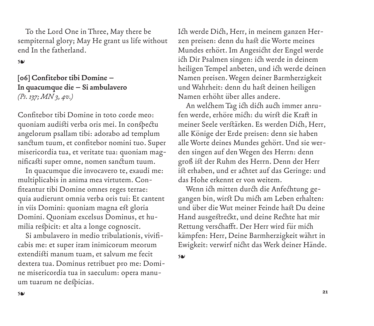To the Lord One in Three, May there be sempiternal glory; May He grant us life without end In the fatherland.

❧

**[06] Confitebor tibi Domine – In quacumque die – Si ambulavero**  *(Ps. 137; MN 3, 4v.)*

Confitebor tibi Domine in toto corde meo: quoniam audisti verba oris mei. In conspectu angelorum psallam tibi: adorabo ad templum sanctum tuum, et confitebor nomini tuo. Super misericordia tua, et veritate tua: quoniam magnificasti super omne, nomen sanctum tuum.

In quacumque die invocavero te, exaudi me: multiplicabis in anima mea virtutem. Confiteantur tibi Domine omnes reges terrae: quia audierunt omnia verba oris tui: Et cantent in viis Domini: quoniam magna est gloria Domini. Quoniam excelsus Dominus, et humilia respicit: et alta a longe cognoscit.

Si ambulavero in medio tribulationis, vivificabis me: et super iram inimicorum meorum extendisti manum tuam, et salvum me fecit dextera tua. Dominus retribuet pro me: Domine misericordia tua in saeculum: opera manuum tuarum ne despicias.

Ich werde Dich, Herr, in meinem ganzen Herzen preisen: denn du hast die Worte meines Mundes erhört. Im Angesicht der Engel werde ich Dir Psalmen singen: ich werde in deinem heiligen Tempel anbeten, und ich werde deinen Namen preisen. Wegen deiner Barmherzigkeit und Wahrheit: denn du hast deinen heiligen Namen erhöht über alles andere.

An welchem Tag ich dich auch immer anrufen werde, erhöre mich: du wirst die Kraft in meiner Seele verstärken. Es werden Dich, Herr, alle Könige der Erde preisen: denn sie haben alle Worte deines Mundes gehört. Und sie werden singen auf den Wegen des Herrn: denn groß ist der Ruhm des Herrn. Denn der Herr ist erhaben, und er achtet auf das Geringe: und das Hohe erkennt er von weitem.

Wenn ich mitten durch die Anfechtung gegangen bin, wirst Du mich am Leben erhalten: und über die Wut meiner Feinde hast Du deine Hand ausgestreckt, und deine Rechte hat mir Rettung verschafft. Der Herr wird für mich kämpfen: Herr, Deine Barmherzigkeit währt in Ewigkeit: verwirf nicht das Werk deiner Hände.

❧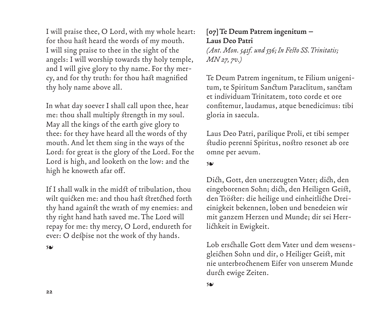I will praise thee, O Lord, with my whole heart: for thou hast heard the words of my mouth. I will sing praise to thee in the sight of the angels: I will worship towards thy holy temple, and I will give glory to thy name. For thy mercy, and for thy truth: for thou hast magnified thy holy name above all.

In what day soever I shall call upon thee, hear me: thou shall multiply strength in my soul. May all the kings of the earth give glory to thee: for they have heard all the words of thy mouth. And let them sing in the ways of the Lord: for great is the glory of the Lord. For the Lord is high, and looketh on the low: and the high he knoweth afar off.

If I shall walk in the midst of tribulation, thou wilt quicken me: and thou hast stretched forth thy hand against the wrath of my enemies: and thy right hand hath saved me. The Lord will repay for me: thy mercy, O Lord, endureth for ever: O despise not the work of thy hands.

❧

# **[07] Te Deum Patrem ingenitum – Laus Deo Patri**

*(Ant. Mon. 541f. und 536; In Festo SS. Trinitatis; MN 27, 7v.)*

Te Deum Patrem ingenitum, te Filium unigenitum, te Spiritum Sanctum Paraclitum, sanctam et individuam Trinitatem, toto corde et ore confitemur, laudamus, atque benedicimus: tibi gloria in saecula.

Laus Deo Patri, parilique Proli, et tibi semper studio perenni Spiritus, nostro resonet ab ore omne per aevum.

❧

Dich, Gott, den unerzeugten Vater; dich, den eingeborenen Sohn; dich, den Heiligen Geist, den Tröster: die heilige und einheitliche Dreieinigkeit bekennen, loben und benedeien wir mit ganzem Herzen und Munde; dir sei Herrlichkeit in Ewigkeit.

Lob erschalle Gott dem Vater und dem wesensgleichen Sohn und dir, o Heiliger Geist, mit nie unterbrochenem Eifer von unserem Munde durch ewige Zeiten.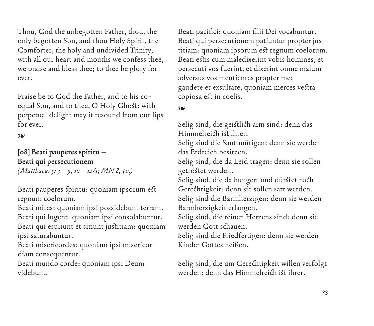Thou, God the unbegotten Father, thou, the only begotten Son, and thou Holy Spirit, the Comforter, the holy and undivided Trinity, with all our heart and mouths we confess thee, we praise and bless thee; to thee be glory for ever.

Praise be to God the Father, and to his coequal Son, and to thee, O Holy Ghost: with perpetual delight may it resound from our lips for ever.

❧

**[08] Beati pauperes spiritu – Beati qui persecutionem**  *(Matthaeus 5: 3–9, 10–12/1; MN 8, 5v.)*

Beati pauperes spiritu: quoniam ipsorum est regnum coelorum.

Beati mites: quoniam ipsi possidebunt terram. Beati qui lugent: quoniam ipsi consolabuntur. Beati qui esuriunt et sitiunt justitiam: quoniam ipsi saturabuntur.

Beati misericordes: quoniam ipsi misericordiam consequentur.

Beati mundo corde: quoniam ipsi Deum videbunt.

Beati pacifici: quoniam filii Dei vocabuntur. Beati qui persecutionem patiuntur propter justitiam: quoniam ipsorum est regnum coelorum. Beati estis cum maledixerint vobis homines, et persecuti vos fuerint, et dixerint omne malum adversus vos mentientes propter me: gaudete et exsultate, quoniam merces vestra copiosa est in coelis.

# ❧

Selig sind, die geistlich arm sind: denn das Himmelreich ist ihrer.

Selig sind die Sanftmütigen: denn sie werden das Erdreich besitzen.

Selig sind, die da Leid tragen: denn sie sollen getröstet werden.

Selig sind, die da hungert und dürstet nach Gerechtigkeit: denn sie sollen satt werden. Selig sind die Barmherzigen: denn sie werden Barmherzigkeit erlangen.

Selig sind, die reinen Herzens sind: denn sie werden Gott schauen.

Selig sind die Friedfertigen: denn sie werden Kinder Gottes heißen.

Selig sind, die um Gerechtigkeit willen verfolgt werden: denn das Himmelreich ist ihrer.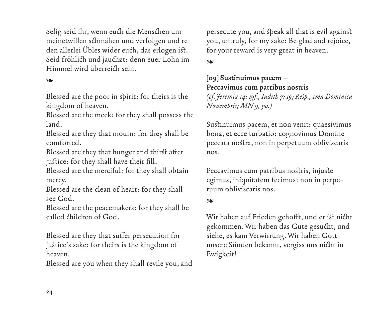Selig seid ihr, wenn euch die Menschen um meinetwillen schmähen und verfolgen und reden allerlei Übles wider euch, das erlogen ist. Seid fröhlich und jauchzt: denn euer Lohn im Himmel wird überreich sein.

### ❧

Blessed are the poor in spirit: for theirs is the kingdom of heaven.

Blessed are the meek: for they shall possess the land.

Blessed are they that mourn: for they shall be comforted.

Blessed are they that hunger and thirst after justice: for they shall have their fill.

Blessed are the merciful: for they shall obtain mercy.

Blessed are the clean of heart: for they shall see God.

Blessed are the peacemakers: for they shall be called children of God.

Blessed are they that suffer persecution for justice's sake: for theirs is the kingdom of heaven.

Blessed are you when they shall revile you, and

persecute you, and speak all that is evil against you, untruly, for my sake: Be glad and rejoice, for your reward is very great in heaven.

❧

# **[09] Sustinuimus pacem – Peccavimus cum patribus nostris**

*(cf. Jeremia 14: 19f., Iudith 7: 19; Resp., 1ma Dominica Novembris; MN 9, 5v.)*

Sustinuimus pacem, et non venit: quaesivimus bona, et ecce turbatio: cognovimus Domine peccata nostra, non in perpetuum obliviscaris nos.

Peccavimus cum patribus nostris, injuste egimus, iniquitatem fecimus: non in perpetuum obliviscaris nos.

### ❧

Wir haben auf Frieden gehofft, und er ist nicht gekommen. Wir haben das Gute gesucht, und siehe, es kam Verwirrung. Wir haben Gott unsere Sünden bekannt, vergiss uns nicht in Ewigkeit!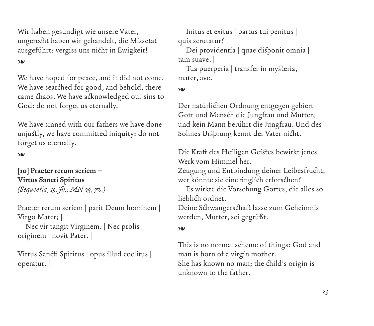Wir haben gesündigt wie unsere Väter, ungerecht haben wir gehandelt, die Missetat ausgeführt: vergiss uns nicht in Ewigkeit!

### ❧

We have hoped for peace, and it did not come. We have searched for good, and behold, there came chaos. We have acknowledged our sins to God: do not forget us eternally.

We have sinned with our fathers we have done unjustly, we have committed iniquity: do not forget us eternally.

#### ❧

# **[10] Praeter rerum seriem – Virtus Sancti Spiritus**  *(Sequentia, 13. Jh.; MN 23, 7v.)*

Praeter rerum seriem | parit Deum hominem | Virgo Mater; |

Nec vir tangit Virginem. | Nec prolis originem | novit Pater. |

Virtus Sancti Spiritus | opus illud coelitus | operatur. |

Initus et exitus | partus tui penitus | quis scrutatur? |

Dei providentia | quae disponit omnia | tam suave. |

Tua puerperia | transfer in mysteria, | mater, ave. |

### ❧

Der natürlichen Ordnung entgegen gebiert Gott und Mensch die Jungfrau und Mutter; und kein Mann berührt die Jungfrau. Und des Sohnes Ursprung kennt der Vater nicht.

Die Kraft des Heiligen Geistes bewirkt jenes Werk vom Himmel her.

Zeugung und Entbindung deiner Leibesfrucht, wer könnte sie eindringlich erforschen?

Es wirkte die Vorsehung Gottes, die alles so lieblich ordnet.

Deine Schwangerschaft lasse zum Geheimnis werden, Mutter, sei gegrüßt.

#### ❧

This is no normal scheme of things: God and man is born of a virgin mother. She has known no man; the child's origin is unknown to the father.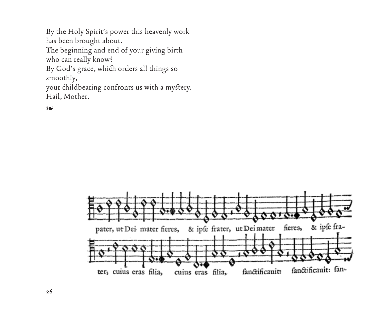By the Holy Spirit's power this heavenly work has been brought about.

The beginning and end of your giving birth who can really know?

By God's grace, which orders all things so smoothly,

your childbearing confronts us with a mystery. Hail, Mother.

❧

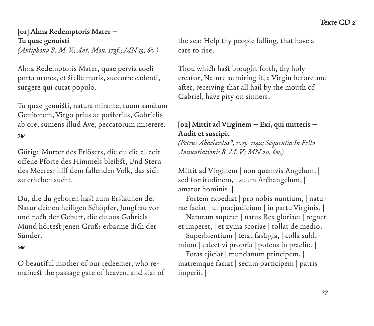# **[01] Alma Redemptoris Mater – Tu quae genuisti**

*(Antiphona B. M. V.; Ant. Mon. 173f.; MN 13, 6v.)*

Alma Redemptoris Mater, quae pervia coeli porta manes, et stella maris, succurre cadenti, surgere qui curat populo.

Tu quae genuisti, natura mirante, tuum sanctum Genitorem, Virgo prius ac posterius, Gabrielis ab ore, sumens illud Ave, peccatorum miserere.

#### ❧

Gütige Mutter des Erlösers, die du die allzeit offene Pforte des Himmels bleibst, Und Stern des Meeres: hilf dem fallenden Volk, das sich zu erheben sucht.

Du, die du geboren hast zum Erstaunen der Natur deinen heiligen Schöpfer, Jungfrau vor und nach der Geburt, die du aus Gabriels Mund hörtest jenen Gruß: erbarme dich der Sünder.

#### ❧

O beautiful mother of our redeemer, who remainest the passage gate of heaven, and star of the sea: Help thy people falling, that have a care to rise.

Thou which hast brought forth, thy holy creator, Nature admiring it, a Virgin before and after, receiving that all hail by the mouth of Gabriel, have pity on sinners.

# **[02] Mittit ad Virginem – Exi, qui mitteris – Audit et suscipit**

*(Petrus Abaelardus?, 1079-1142; Sequentia In Festo Annuntiationis B. M. V.; MN 20, 6v.)*

Mittit ad Virginem | non quemvis Angelum, | sed fortitudinem, | suum Archangelum, | amator hominis. |

Fortem expediat | pro nobis nuntium, | naturae faciat | ut praejudicium | in partu Virginis. |

Naturam superet | natus Rex gloriae: | regnet et imperet, | et zyma scoriae | tollat de medio. |

Superbientium | terat fastigia, | colla sublimium | calcet vi propria | potens in praelio. |

Foras ejiciat | mundanum principem, | matremque faciat | secum participem | patris imperii. |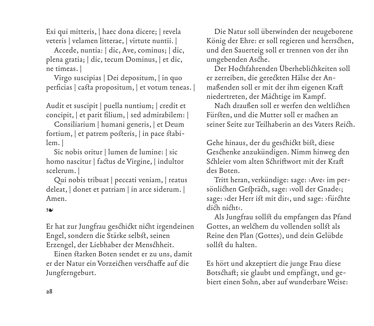Exi qui mitteris, | haec dona dicere; | revela veteris | velamen litterae, | virtute nuntii. |

Accede, nuntia: | dic, Ave, cominus; | dic, plena gratia; | dic, tecum Dominus, | et dic, ne timeas. |

Virgo suscipias | Dei depositum, | in quo perficias | casta propositum, | et votum teneas. |

Audit et suscipit | puella nuntium; | credit et concipit, | et parit filium, | sed admirabilem: |

Consiliarium | humani generis, | et Deum fortium, | et patrem posteris, | in pace stabilem. |

Sic nobis oritur | lumen de lumine: | sic homo nascitur | factus de Virgine, | indultor scelerum. |

Qui nobis tribuat | peccati veniam, | reatus deleat, | donet et patriam | in arce siderum. | Amen.

### ❧

Er hat zur Jungfrau geschickt nicht irgendeinen Engel, sondern die Stärke selbst, seinen Erzengel, der Liebhaber der Menschheit.

Einen starken Boten sendet er zu uns, damit er der Natur ein Vorzeichen verschaffe auf die Jungferngeburt.

Die Natur soll überwinden der neugeborene König der Ehre: er soll regieren und herrschen, und den Sauerteig soll er trennen von der ihn umgebenden Asche.

Der Hochfahrenden Überheblichkeiten soll er zerreiben, die gereckten Hälse der Anmaßenden soll er mit der ihm eigenen Kraft niedertreten, der Mächtige im Kampf.

Nach draußen soll er werfen den weltlichen Fürsten, und die Mutter soll er machen an seiner Seite zur Teilhaberin an des Vaters Reich.

Gehe hinaus, der du geschickt bist, diese Geschenke anzukündigen. Nimm hinweg den Schleier vom alten Schriftwort mit der Kraft des Boten.

Tritt heran, verkündige: sage: ›Ave‹ im persönlichen Gespräch, sage: ›voll der Gnade‹; sage: ›der Herr ist mit dir‹, und sage: ›fürchte dich nicht‹.

Als Jungfrau sollst du empfangen das Pfand Gottes, an welchem du vollenden sollst als Reine den Plan (Gottes), und dein Gelübde sollst du halten.

Es hört und akzeptiert die junge Frau diese Botschaft; sie glaubt und empfängt, und gebiert einen Sohn, aber auf wunderbare Weise: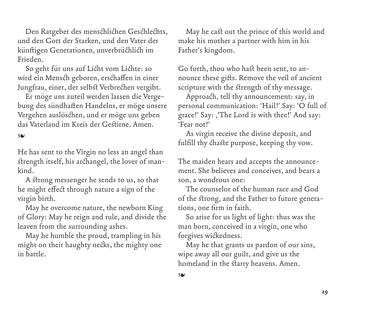Den Ratgeber des menschlichen Geschlechts, und den Gott der Starken, und den Vater der künftigen Generationen, unverbrüchlich im Frieden.

So geht für uns auf Licht vom Lichte: so wird ein Mensch geboren, erschaffen in einer Jungfrau, einer, der selbst Verbrechen vergibt.

Er möge uns zuteil werden lassen die Vergebung des sündhaften Handelns, er möge unsere Vergehen auslöschen, und er möge uns geben das Vaterland im Kreis der Gestirne. Amen.

### ❧

He has sent to the Virgin no less an angel than strength itself, his archangel, the lover of mankind.

A strong messenger he sends to us, so that he might effect through nature a sign of the virgin birth.

May he overcome nature, the newborn King of Glory: May he reign and rule, and divide the leaven from the surrounding ashes.

May he humble the proud, trampling in his might on their haughty necks, the mighty one in battle.

May he cast out the prince of this world and make his mother a partner with him in his Father's kingdom.

Go forth, thou who hast been sent, to announce these gifts. Remove the veil of ancient scripture with the strength of thy message.

Approach, tell thy announcement: say, in personal communication: 'Hail!' Say: 'O full of grace!' Say: , 'The Lord is with thee!' And say: 'Fear not!'

As virgin receive the divine deposit, and fulfill thy chaste purpose, keeping thy vow.

The maiden hears and accepts the announcement. She believes and conceives, and bears a son, a wondrous one:

The counselor of the human race and God of the strong, and the Father to future generations, one firm in faith.

So arise for us light of light: thus was the man born, conceived in a virgin, one who forgives wickedness.

May he that grants us pardon of our sins, wipe away all our guilt, and give us the homeland in the starry heavens. Amen.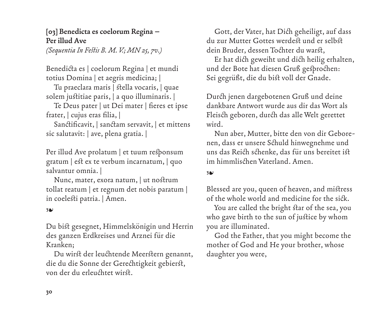# **[03] Benedicta es coelorum Regina – Per illud Ave**

*(Sequentia In Festis B. M. V.; MN 25, 7v.)*

Benedicta es | coelorum Regina | et mundi totius Domina | et aegris medicina; |

Tu praeclara maris | stella vocaris, | quae solem justitiae paris, | a quo illuminaris. |

Te Deus pater | ut Dei mater | fieres et ipse frater, | cujus eras filia, |

Sanctificavit, | sanctam servavit, | et mittens sic salutavit: | ave, plena gratia. |

Per illud Ave prolatum | et tuum responsum gratum | est ex te verbum incarnatum, | quo salvantur omnia. |

Nunc, mater, exora natum, | ut nostrum tollat reatum | et regnum det nobis paratum | in coelesti patria. | Amen.

#### ❧

Du bist gesegnet, Himmelskönigin und Herrin des ganzen Erdkreises und Arznei für die Kranken;

Du wirst der leuchtende Meerstern genannt, die du die Sonne der Gerechtigkeit gebierst, von der du erleuchtet wirst.

Gott, der Vater, hat Dich geheiligt, auf dass du zur Mutter Gottes werdest und er selbst dein Bruder, dessen Tochter du warst,

Er hat dich geweiht und dich heilig erhalten, und der Bote hat diesen Gruß gesprochen: Sei gegrüßt, die du bist voll der Gnade.

Durch jenen dargebotenen Gruß und deine dankbare Antwort wurde aus dir das Wort als Fleisch geboren, durch das alle Welt gerettet wird.

Nun aber, Mutter, bitte den von dir Geborenen, dass er unsere Schuld hinwegnehme und uns das Reich schenke, das für uns bereitet ist im himmlischen Vaterland. Amen.

#### ❧

Blessed are you, queen of heaven, and mistress of the whole world and medicine for the sick.

You are called the bright star of the sea, you who gave birth to the sun of justice by whom you are illuminated.

God the Father, that you might become the mother of God and He your brother, whose daughter you were,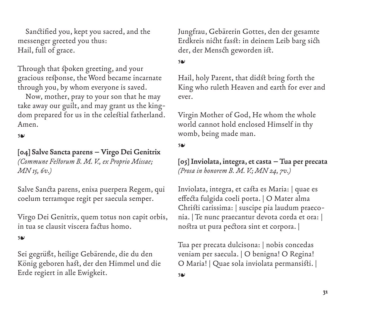Sanctified you, kept you sacred, and the messenger greeted you thus: Hail, full of grace.

Through that spoken greeting, and your gracious response, the Word became incarnate through you, by whom everyone is saved.

Now, mother, pray to your son that he may take away our guilt, and may grant us the kingdom prepared for us in the celestial fatherland. Amen.

❧

# **[04] Salve Sancta parens – Virgo Dei Genitrix**  *(Commune Festorum B. M. V., ex Proprio Missae; MN 15, 6v.)*

Salve Sancta parens, enixa puerpera Regem, qui coelum terramque regit per saecula semper.

Virgo Dei Genitrix, quem totus non capit orbis, in tua se clausit viscera factus homo.

### ❧

Sei gegrüßt, heilige Gebärende, die du den König geboren hast, der den Himmel und die Erde regiert in alle Ewigkeit.

Jungfrau, Gebärerin Gottes, den der gesamte Erdkreis nicht fasst: in deinem Leib barg sich der, der Mensch geworden ist.

### ❧

Hail, holy Parent, that didst bring forth the King who ruleth Heaven and earth for ever and ever.

Virgin Mother of God, He whom the whole world cannot hold enclosed Himself in thy womb, being made man.

#### ❧

### **[05] Inviolata, integra, et casta – Tua per precata** *(Prosa in honorem B. M. V.; MN 24, 7v.)*

Inviolata, integra, et casta es Maria: | quae es effecta fulgida coeli porta. | O Mater alma Christi carissima: | suscipe pia laudum praeconia. | Te nunc praecantur devota corda et ora: | nostra ut pura pectora sint et corpora. |

Tua per precata dulcisona: | nobis concedas veniam per saecula. | O benigna! O Regina! O Maria! | Quae sola inviolata permansisti. |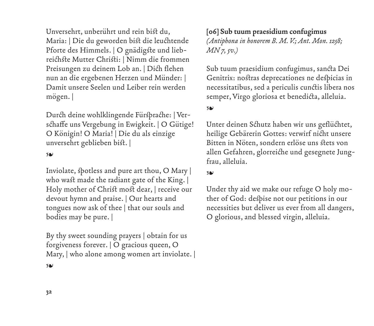Unversehrt, unberührt und rein bist du, Maria: | Die du geworden bist die leuchtende Pforte des Himmels. | O gnädigste und liebreichste Mutter Christi: | Nimm die frommen Preisungen zu deinem Lob an. | Dich flehen nun an die ergebenen Herzen und Münder: | Damit unsere Seelen und Leiber rein werden mögen. |

Durch deine wohlklingende Fürsprache: | Verschaffe uns Vergebung in Ewigkeit. | O Gütige! O Königin! O Maria! | Die du als einzige unversehrt geblieben bist. |

#### ❧

Inviolate, spotless and pure art thou, O Mary | who wast made the radiant gate of the King. | Holy mother of Christ most dear, | receive our devout hymn and praise. | Our hearts and tongues now ask of thee | that our souls and bodies may be pure. |

By thy sweet sounding prayers | obtain for us forgiveness forever. | O gracious queen, O Mary, | who alone among women art inviolate. | **[06] Sub tuum praesidium confugimus**  *(Antiphona in honorem B. M. V.; Ant. Mon. 1258; MN 7, 5v.)*

Sub tuum praesidium confugimus, sancta Dei Genitrix: nostras deprecationes ne despicias in necessitatibus, sed a periculis cunctis libera nos semper, Virgo gloriosa et benedicta, alleluia.

#### ❧

Unter deinen Schutz haben wir uns geflüchtet, heilige Gebärerin Gottes: verwirf nicht unsere Bitten in Nöten, sondern erlöse uns stets von allen Gefahren, glorreiche und gesegnete Jungfrau, alleluia.

#### ❧

Under thy aid we make our refuge O holy mother of God: despise not our petitions in our necessities but deliver us ever from all dangers, O glorious, and blessed virgin, alleluia.

❧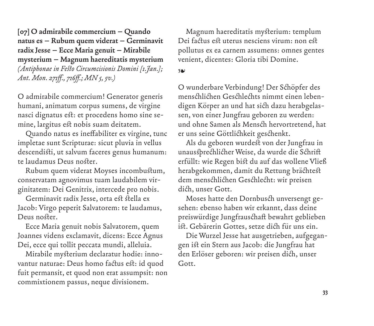**[07] O admirabile commercium – Quando natus es – Rubum quem viderat – Germinavit radix Jesse – Ecce Maria genuit – Mirabile mysterium – Magnum haereditatis mysterium**  *(Antiphonae in Festo Circumcisionis Domini [1.Jan.]; Ant. Mon. 271ff., 716ff.; MN 5, 5v.)*

O admirabile commercium! Generator generis humani, animatum corpus sumens, de virgine nasci dignatus est: et procedens homo sine semine, largitus est nobis suam deitatem.

Quando natus es ineffabiliter ex virgine, tunc impletae sunt Scripturae: sicut pluvia in vellus descendisti, ut salvum faceres genus humanum: te laudamus Deus noster.

Rubum quem viderat Moyses incombustum, conservatam agnovimus tuam laudabilem virginitatem: Dei Genitrix, intercede pro nobis.

Germinavit radix Jesse, orta est stella ex Jacob: Virgo peperit Salvatorem: te laudamus, Deus noster.

Ecce Maria genuit nobis Salvatorem, quem Joannes videns exclamavit, dicens: Ecce Agnus Dei, ecce qui tollit peccata mundi, alleluia.

Mirabile mysterium declaratur hodie: innovantur naturae: Deus homo factus est: id quod fuit permansit, et quod non erat assumpsit: non commixtionem passus, neque divisionem.

Magnum haereditatis mysterium: templum Dei factus est uterus nesciens virum: non est pollutus ex ea carnem assumens: omnes gentes venient, dicentes: Gloria tibi Domine.

#### ❧

O wunderbare Verbindung! Der Schöpfer des menschlichen Geschlechts nimmt einen lebendigen Körper an und hat sich dazu herabgelassen, von einer Jungfrau geboren zu werden: und ohne Samen als Mensch hervortretend, hat er uns seine Göttlichkeit geschenkt.

Als du geboren wurdest von der Jungfrau in unaussprechlicher Weise, da wurde die Schrift erfüllt: wie Regen bist du auf das wollene Vließ herabgekommen, damit du Rettung brächtest dem menschlichen Geschlecht: wir preisen dich, unser Gott.

Moses hatte den Dornbusch unversengt gesehen: ebenso haben wir erkannt, dass deine preiswürdige Jungfrauschaft bewahrt geblieben ist. Gebärerin Gottes, setze dich für uns ein.

Die Wurzel Jesse hat ausgetrieben, aufgegangen ist ein Stern aus Jacob: die Jungfrau hat den Erlöser geboren: wir preisen dich, unser Gott.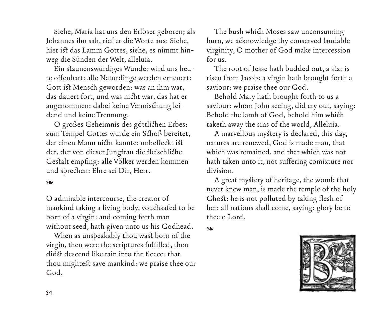Siehe, Maria hat uns den Erlöser geboren; als Johannes ihn sah, rief er die Worte aus: Siehe, hier ist das Lamm Gottes, siehe, es nimmt hinweg die Sünden der Welt, alleluia.

Ein staunenswürdiges Wunder wird uns heute offenbart: alle Naturdinge werden erneuert: Gott ist Mensch geworden: was an ihm war, das dauert fort, und was nicht war, das hat er angenommen: dabei keine Vermischung leidend und keine Trennung.

O großes Geheimnis des göttlichen Erbes: zum Tempel Gottes wurde ein Schoß bereitet, der einen Mann nicht kannte: unbefleckt ist der, der von dieser Jungfrau die fleischliche Gestalt empfing: alle Völker werden kommen und sprechen: Ehre sei Dir, Herr.

#### ❧

O admirable intercourse, the creator of mankind taking a living body, vouchsafed to be born of a virgin: and coming forth man without seed, hath given unto us his Godhead.

When as unspeakably thou wast born of the virgin, then were the scriptures fulfilled, thou didst descend like rain into the fleece: that thou mightest save mankind: we praise thee our God.

The bush which Moses saw unconsuming burn, we acknowledge thy conserved laudable virginity, O mother of God make intercession for us.

The root of Jesse hath budded out, a star is risen from Jacob: a virgin hath brought forth a saviour: we praise thee our God.

Behold Mary hath brought forth to us a saviour: whom John seeing, did cry out, saying: Behold the lamb of God, behold him which taketh away the sins of the world, Alleluia.

A marvellous mystery is declared, this day, natures are renewed, God is made man, that which was remained, and that which was not hath taken unto it, not suffering comixture nor division.

A great mystery of heritage, the womb that never knew man, is made the temple of the holy Ghost: he is not polluted by taking flesh of her: all nations shall come, saying: glory be to thee o Lord.

❧

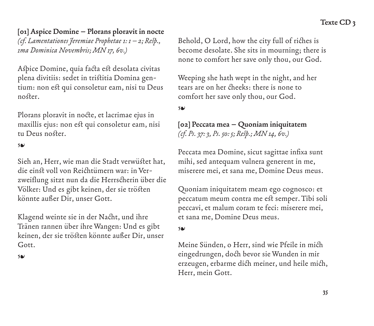# **[01] Aspice Domine – Plorans ploravit in nocte**

*(cf. Lamentationes Jeremiae Prophetae 1: 1–2; Resp., 1ma Dominica Novembris; MN 17, 6v.)*

Aspice Domine, quia facta est desolata civitas plena divitiis: sedet in tristitia Domina gentium: non est qui consoletur eam, nisi tu Deus noster.

Plorans ploravit in nocte, et lacrimae ejus in maxillis ejus: non est qui consoletur eam, nisi tu Deus noster.

### ❧

Sieh an, Herr, wie man die Stadt verwüstet hat, die einst voll von Reichtümern war: in Verzweiflung sitzt nun da die Herrscherin über die Völker: Und es gibt keinen, der sie trösten könnte außer Dir, unser Gott.

Klagend weinte sie in der Nacht, und ihre Tränen rannen über ihre Wangen: Und es gibt keinen, der sie trösten könnte außer Dir, unser Gott.

#### ❧

Behold, O Lord, how the city full of riches is become desolate. She sits in mourning; there is none to comfort her save only thou, our God.

Weeping she hath wept in the night, and her tears are on her cheeks: there is none to comfort her save only thou, our God.

#### ❧

# **[02] Peccata mea – Quoniam iniquitatem**  *(cf. Ps. 37: 3, Ps. 50: 5; Resp.; MN 14, 6v.)*

Peccata mea Domine, sicut sagittae infixa sunt mihi, sed antequam vulnera generent in me, miserere mei, et sana me, Domine Deus meus.

Quoniam iniquitatem meam ego cognosco: et peccatum meum contra me est semper. Tibi soli peccavi, et malum coram te feci: miserere mei, et sana me, Domine Deus meus.

#### ❧

Meine Sünden, o Herr, sind wie Pfeile in mich eingedrungen, doch bevor sie Wunden in mir erzeugen, erbarme dich meiner, und heile mich, Herr, mein Gott.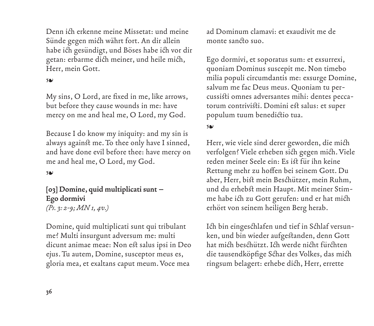Denn ich erkenne meine Missetat: und meine Sünde gegen mich währt fort. An dir allein habe ich gesündigt, und Böses habe ich vor dir getan: erbarme dich meiner, und heile mich, Herr, mein Gott.

### ❧

My sins, O Lord, are fixed in me, like arrows, but before they cause wounds in me: have mercy on me and heal me, O Lord, my God.

Because I do know my iniquity: and my sin is always against me. To thee only have I sinned, and have done evil before thee: have mercy on me and heal me, O Lord, my God.

#### ❧

**[03] Domine, quid multiplicati sunt – Ego dormivi** *(Ps. 3: 2-9; MN 1, 4v.)*

Domine, quid multiplicati sunt qui tribulant me? Multi insurgunt adversum me: multi dicunt animae meae: Non est salus ipsi in Deo ejus. Tu autem, Domine, susceptor meus es, gloria mea, et exaltans caput meum. Voce mea

ad Dominum clamavi: et exaudivit me de monte sancto suo.

Ego dormivi, et soporatus sum: et exsurrexi, quoniam Dominus suscepit me. Non timebo milia populi circumdantis me: exsurge Domine, salvum me fac Deus meus. Quoniam tu percussisti omnes adversantes mihi: dentes peccatorum contrivisti. Domini est salus: et super populum tuum benedictio tua.

#### ❧

Herr, wie viele sind derer geworden, die mich verfolgen? Viele erheben sich gegen mich. Viele reden meiner Seele ein: Es ist für ihn keine Rettung mehr zu hoffen bei seinem Gott. Du aber, Herr, bist mein Beschützer, mein Ruhm, und du erhebst mein Haupt. Mit meiner Stimme habe ich zu Gott gerufen: und er hat mich erhört von seinem heiligen Berg herab.

Ich bin eingeschlafen und tief in Schlaf versunken, und bin wieder aufgestanden, denn Gott hat mich beschützt. Ich werde nicht fürchten die tausendköpfige Schar des Volkes, das mich ringsum belagert: erhebe dich, Herr, errette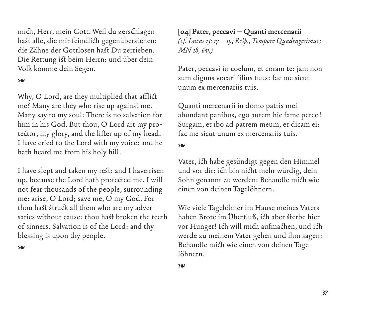mich, Herr, mein Gott. Weil du zerschlagen hast alle, die mir feindlich gegenüberstehen: die Zähne der Gottlosen hast Du zerrieben. Die Rettung ist beim Herrn: und über dein Volk komme dein Segen.

### ❧

Why, O Lord, are they multiplied that afflict me? Many are they who rise up against me. Many say to my soul: There is no salvation for him in his God. But thou, O Lord art my protector, my glory, and the lifter up of my head. I have cried to the Lord with my voice: and he hath heard me from his holy hill.

I have slept and taken my rest: and I have risen up, because the Lord hath protected me. I will not fear thousands of the people, surrounding me: arise, O Lord; save me, O my God. For thou hast struck all them who are my adversaries without cause: thou hast broken the teeth of sinners. Salvation is of the Lord: and thy blessing is upon thy people.

❧

**[04] Pater, peccavi – Quanti mercenarii**  *(cf. Lucas 15: 17–19; Resp., Tempore Quadragesimae; MN 18, 6v.)*

Pater, peccavi in coelum, et coram te: jam non sum dignus vocari filius tuus: fac me sicut unum ex mercenariis tuis.

Quanti mercenarii in domo patris mei abundant panibus, ego autem hic fame pereo! Surgam, et ibo ad patrem meum, et dicam ei: fac me sicut unum ex mercenariis tuis.

#### ❧

Vater, ich habe gesündigt gegen den Himmel und vor dir: ich bin nicht mehr würdig, dein Sohn genannt zu werden: Behandle mich wie einen von deinen Tagelöhnern.

Wie viele Tagelöhner im Hause meines Vaters haben Brote im Überfluß, ich aber sterbe hier vor Hunger! Ich will mich aufmachen, und ich werde zu meinem Vater gehen und ihm sagen: Behandle mich wie einen von deinen Tagelöhnern.

#### ❧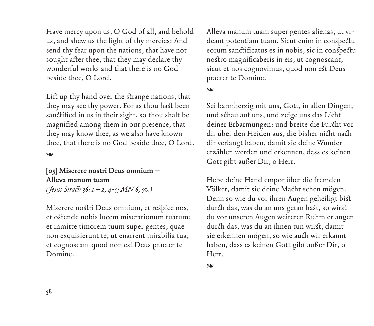Have mercy upon us, O God of all, and behold us, and shew us the light of thy mercies: And send thy fear upon the nations, that have not sought after thee, that they may declare thy wonderful works and that there is no God beside thee, O Lord.

Lift up thy hand over the strange nations, that they may see thy power. For as thou hast been sanctified in us in their sight, so thou shalt be magnified among them in our presence, that they may know thee, as we also have known thee, that there is no God beside thee, O Lord.

#### ❧

# **[05] Miserere nostri Deus omnium – Alleva manum tuam**  *(Jesus Sirach 36: 1–2, 4-5; MN 6, 5v.)*

Miserere nostri Deus omnium, et respice nos, et ostende nobis lucem miserationum tuarum: et inmitte timorem tuum super gentes, quae non exquisierunt te, ut enarrent mirabilia tua, et cognoscant quod non est Deus praeter te Domine.

Alleva manum tuam super gentes alienas, ut videant potentiam tuam. Sicut enim in conspectu eorum sanctificatus es in nobis, sic in conspectu nostro magnificaberis in eis, ut cognoscant, sicut et nos cognovimus, quod non est Deus praeter te Domine.

#### ❧

Sei barmherzig mit uns, Gott, in allen Dingen, und schau auf uns, und zeige uns das Licht deiner Erbarmungen: und breite die Furcht vor dir über den Heiden aus, die bisher nicht nach dir verlangt haben, damit sie deine Wunder erzählen werden und erkennen, dass es keinen Gott gibt außer Dir, o Herr.

Hebe deine Hand empor über die fremden Völker, damit sie deine Macht sehen mögen. Denn so wie du vor ihren Augen geheiligt bist durch das, was du an uns getan hast, so wirst du vor unseren Augen weiteren Ruhm erlangen durch das, was du an ihnen tun wirst, damit sie erkennen mögen, so wie auch wir erkannt haben, dass es keinen Gott gibt außer Dir, o Herr.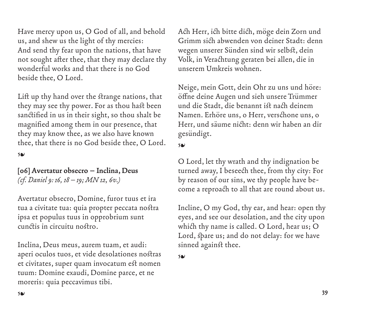Have mercy upon us, O God of all, and behold us, and shew us the light of thy mercies: And send thy fear upon the nations, that have not sought after thee, that they may declare thy wonderful works and that there is no God beside thee, O Lord.

Lift up thy hand over the strange nations, that they may see thy power. For as thou hast been sanctified in us in their sight, so thou shalt be magnified among them in our presence, that they may know thee, as we also have known thee, that there is no God beside thee, O Lord.

❧

# **[06] Avertatur obsecro – Inclina, Deus**  *(cf. Daniel 9: 16, 18–19; MN 12, 6v.)*

Avertatur obsecro, Domine, furor tuus et ira tua a civitate tua: quia propter peccata nostra ipsa et populus tuus in opprobrium sunt cunctis in circuitu nostro.

Inclina, Deus meus, aurem tuam, et audi: aperi oculos tuos, et vide desolationes nostras et civitates, super quam invocatum est nomen tuum: Domine exaudi, Domine parce, et ne moreris: quia peccavimus tibi.

Ach Herr, ich bitte dich, möge dein Zorn und Grimm sich abwenden von deiner Stadt: denn wegen unserer Sünden sind wir selbst, dein Volk, in Verachtung geraten bei allen, die in unserem Umkreis wohnen.

Neige, mein Gott, dein Ohr zu uns und höre: öffne deine Augen und sieh unsere Trümmer und die Stadt, die benannt ist nach deinem Namen. Erhöre uns, o Herr, verschone uns, o Herr, und säume nicht: denn wir haben an dir gesündigt.

❧

O Lord, let thy wrath and thy indignation be turned away, I beseech thee, from thy city: For by reason of our sins, we thy people have become a reproach to all that are round about us.

Incline, O my God, thy ear, and hear: open thy eyes, and see our desolation, and the city upon which thy name is called. O Lord, hear us; O Lord, spare us; and do not delay: for we have sinned against thee.

❧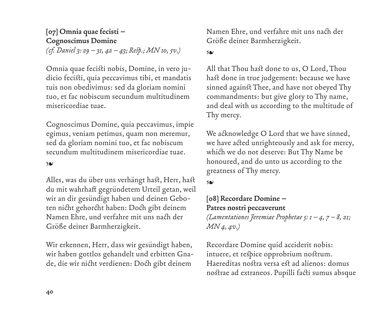# **[07] Omnia quae fecisti – Cognoscimus Domine**  *(cf. Daniel 3: 29–31, 42–43; Resp.; MN 10, 5v.)*

Omnia quae fecisti nobis, Domine, in vero judicio fecisti, quia peccavimus tibi, et mandatis tuis non obedivimus: sed da gloriam nomini tuo, et fac nobiscum secundum multitudinem misericordiae tuae.

Cognoscimus Domine, quia peccavimus, impie egimus, veniam petimus, quam non meremur, sed da gloriam nomini tuo, et fac nobiscum secundum multitudinem misericordiae tuae.

#### ❧

Alles, was du über uns verhängt hast, Herr, hast du mit wahrhaft gegründetem Urteil getan, weil wir an dir gesündigt haben und deinen Geboten nicht gehorcht haben: Doch gibt deinem Namen Ehre, und verfahre mit uns nach der Größe deiner Barmherzigkeit.

Wir erkennen, Herr, dass wir gesündigt haben, wir haben gottlos gehandelt und erbitten Gnade, die wir nicht verdienen: Doch gibt deinem

Namen Ehre, und verfahre mit uns nach der Größe deiner Barmherzigkeit.

#### ❧

All that Thou hast done to us, O Lord, Thou hast done in true judgement: because we have sinned against Thee, and have not obeyed Thy commandments: but give glory to Thy name, and deal with us according to the multitude of Thy mercy.

We acknowledge O Lord that we have sinned, we have acted unrighteously and ask for mercy, which we do not deserve: But Thy Name be honoured, and do unto us according to the greatness of Thy mercy.

❧

### **[08] Recordare Domine – Patres nostri peccaverunt**

*(Lamentationes Jeremiae Prophetae 5: 1–4, 7–8, 21; MN 4, 4v.)*

Recordare Domine quid acciderit nobis: intuere, et respice opprobrium nostrum. Haereditas nostra versa est ad alienos: domus nostrae ad extraneos. Pupilli facti sumus absque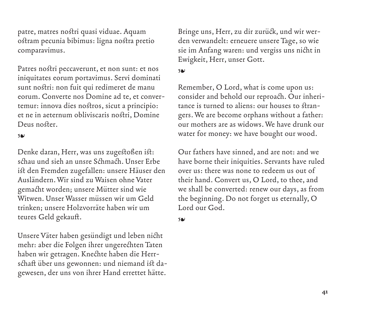patre, matres nostri quasi viduae. Aquam ostram pecunia bibimus: ligna nostra pretio comparavimus.

Patres nostri peccaverunt, et non sunt: et nos iniquitates eorum portavimus. Servi dominati sunt nostri: non fuit qui redimeret de manu eorum. Converte nos Domine ad te, et convertemur: innova dies nostros, sicut a principio: et ne in aeternum obliviscaris nostri, Domine Deus noster.

#### ❧

Denke daran, Herr, was uns zugestoßen ist: schau und sieh an unsre Schmach. Unser Erbe ist den Fremden zugefallen: unsere Häuser den Ausländern. Wir sind zu Waisen ohne Vater gemacht worden; unsere Mütter sind wie Witwen. Unser Wasser müssen wir um Geld trinken; unsere Holzvorräte haben wir um teures Geld gekauft.

Unsere Väter haben gesündigt und leben nicht mehr: aber die Folgen ihrer ungerechten Taten haben wir getragen. Knechte haben die Herrschaft über uns gewonnen: und niemand ist dagewesen, der uns von ihrer Hand errettet hätte.

Bringe uns, Herr, zu dir zurück, und wir werden verwandelt: erneuere unsere Tage, so wie sie im Anfang waren: und vergiss uns nicht in Ewigkeit, Herr, unser Gott.

#### ❧

Remember, O Lord, what is come upon us: consider and behold our reproach. Our inheritance is turned to aliens: our houses to strangers. We are become orphans without a father: our mothers are as widows. We have drunk our water for money: we have bought our wood.

Our fathers have sinned, and are not: and we have borne their iniquities. Servants have ruled over us: there was none to redeem us out of their hand. Convert us, O Lord, to thee, and we shall be converted: renew our days, as from the beginning. Do not forget us eternally, O Lord our God.

#### ❧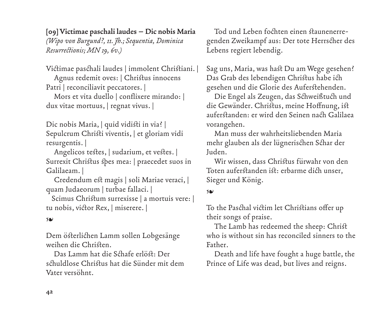**[09] Victimae paschali laudes – Dic nobis Maria** 

*(Wipo von Burgund?, 11. Jh.; Sequentia, Dominica Resurrectionis; MN 19, 6v.)*

Victimae paschali laudes | immolent Christiani. |

Agnus redemit oves: | Christus innocens Patri | reconciliavit peccatores. |

Mors et vita duello | conflixere mirando: | dux vitae mortuus, | regnat vivus. |

Dic nobis Maria, | quid vidisti in via? | Sepulcrum Christi viventis, | et gloriam vidi resurgentis. |

Angelicos testes, | sudarium, et vestes. | Surrexit Christus spes mea: | praecedet suos in Galilaeam. |

Credendum est magis | soli Mariae veraci, | quam Judaeorum | turbae fallaci. |

 Scimus Christum surrexisse | a mortuis vere: | tu nobis, victor Rex, | miserere. |

❧

Dem österlichen Lamm sollen Lobgesänge weihen die Christen.

Das Lamm hat die Schafe erlöst: Der schuldlose Christus hat die Sünder mit dem Vater versöhnt.

Tod und Leben fochten einen staunenerregenden Zweikampf aus: Der tote Herrscher des Lebens regiert lebendig.

Sag uns, Maria, was hast Du am Wege gesehen? Das Grab des lebendigen Christus habe ich gesehen und die Glorie des Auferstehenden.

Die Engel als Zeugen, das Schweißtuch und die Gewänder. Christus, meine Hoffnung, ist auferstanden: er wird den Seinen nach Galilaea vorangehen.

Man muss der wahrheitsliebenden Maria mehr glauben als der lügnerischen Schar der Juden.

Wir wissen, dass Christus fürwahr von den Toten auferstanden ist: erbarme dich unser, Sieger und König.

### ❧

To the Paschal victim let Christians offer up their songs of praise.

The Lamb has redeemed the sheep: Christ who is without sin has reconciled sinners to the Father.

Death and life have fought a huge battle, the Prince of Life was dead, but lives and reigns.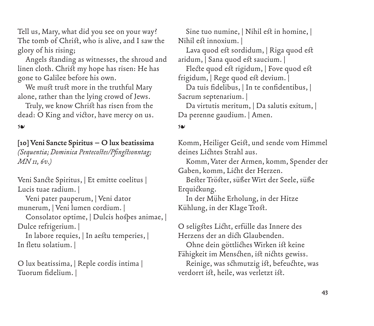Tell us, Mary, what did you see on your way? The tomb of Christ, who is alive, and I saw the glory of his rising;

Angels standing as witnesses, the shroud and linen cloth. Christ my hope has risen: He has gone to Galilee before his own.

We must trust more in the truthful Mary alone, rather than the lying crowd of Jews.

Truly, we know Christ has risen from the dead: O King and victor, have mercy on us.

❧

# **[10] Veni Sancte Spiritus – O lux beatissima**

*(Sequentia; Dominica Pentecostes/Pfingstsonntag; MN 11, 6v.)*

Veni Sancte Spiritus, | Et emitte coelitus | Lucis tuae radium. |

Veni pater pauperum, | Veni dator munerum, | Veni lumen cordium. |

Consolator optime, | Dulcis hospes animae, | Dulce refrigerium. |

In labore requies, | In aestu temperies, | In fletu solatium. |

O lux beatissima, | Reple cordis intima | Tuorum fidelium. |

Sine tuo numine, | Nihil est in homine, | Nihil est innoxium. |

Lava quod est sordidum, | Riga quod est aridum, | Sana quod est saucium. |

Flecte quod est rigidum, | Fove quod est frigidum, | Rege quod est devium. |

Da tuis fidelibus, | In te confidentibus, | Sacrum septenarium. |

Da virtutis meritum, | Da salutis exitum, | Da perenne gaudium. | Amen.

### ❧

Komm, Heiliger Geist, und sende vom Himmel deines Lichtes Strahl aus.

Komm, Vater der Armen, komm, Spender der Gaben, komm, Licht der Herzen.

Bester Tröster, süßer Wirt der Seele, süße Erquickung.

In der Mühe Erholung, in der Hitze Kühlung, in der Klage Trost.

O seligstes Licht, erfülle das Innere des Herzens der an dich Glaubenden.

Ohne dein göttliches Wirken ist keine Fähigkeit im Menschen, ist nichts gewiss.

Reinige, was schmutzig ist, befeuchte, was verdorrt ist, heile, was verletzt ist.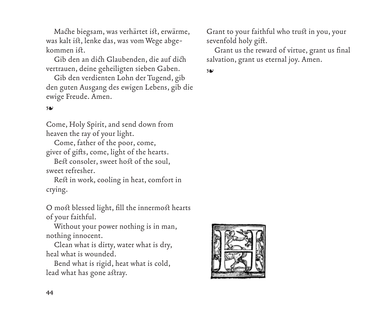Mache biegsam, was verhärtet ist, erwärme, was kalt ist, lenke das, was vom Wege abgekommen ist.

Gib den an dich Glaubenden, die auf dich vertrauen, deine geheiligten sieben Gaben.

Gib den verdienten Lohn der Tugend, gib den guten Ausgang des ewigen Lebens, gib die ewige Freude. Amen.

### ❧

Come, Holy Spirit, and send down from heaven the ray of your light.

Come, father of the poor, come, giver of gifts, come, light of the hearts.

Best consoler, sweet host of the soul, sweet refresher.

Rest in work, cooling in heat, comfort in crying.

O most blessed light, fill the innermost hearts of your faithful.

Without your power nothing is in man, nothing innocent.

Clean what is dirty, water what is dry, heal what is wounded.

Bend what is rigid, heat what is cold, lead what has gone astray.

Grant to your faithful who trust in you, your sevenfold holy gift.

Grant us the reward of virtue, grant us final salvation, grant us eternal joy. Amen.

❧

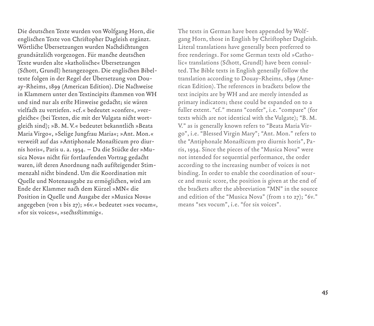Die deutschen Texte wurden von Wolfgang Horn, die englischen Texte von Christopher Dagleish ergänzt. Wörtliche Übersetzungen wurden Nachdichtungen grundsätzlich vorgezogen. Für manche deutschen Texte wurden alte »katholische« Übersetzungen (Schott, Grundl) herangezogen. Die englischen Bibeltexte folgen in der Regel der Übersetzung von Douay-Rheims, 1899 (American Edition). Die Nachweise in Klammern unter den Textincipits stammen von WH und sind nur als erste Hinweise gedacht; sie wären vielfach zu vertiefen. »cf.« bedeutet »confer«, »vergleiche« (bei Texten, die mit der Vulgata nicht wortgleich sind); »B. M. V.« bedeutet bekanntlich »Beata Maria Virgo«, »Selige Jungfrau Maria«; »Ant. Mon.« verweist auf das »Antiphonale Monasticum pro diurnis horis«, Paris u. a. 1934. – Da die Stücke der »Musica Nova« nicht für fortlaufenden Vortrag gedacht waren, ist deren Anordnung nach aufsteigender Stimmenzahl nicht bindend. Um die Koordination mit Quelle und Notenausgabe zu ermöglichen, wird am Ende der Klammer nach dem Kürzel »MN« die Position in Quelle und Ausgabe der »Musica Nova« angegeben (von 1 bis 27); »6v.« bedeutet »sex vocum«, »for six voices«, »sechsstimmig«.

The texts in German have been appended by Wolfgang Horn, those in English by Christopher Dagleish. Literal translations have generally been preferred to free renderings. For some German texts old »Catholic« translations (Schott, Grundl) have been consulted. The Bible texts in English generally follow the translation according to Douay-Rheims, 1899 (American Edition). The references in brackets below the text incipits are by WH and are merely intended as primary indicators; these could be expanded on to a fuller extent. "cf." means "confer", i.e. "compare" (for texts which are not identical with the Vulgate); "B. M. V." as is generally known refers to "Beata Maria Virgo", i.e. "Blessed Virgin Mary"; "Ant. Mon." refers to the "Antiphonale Monasticum pro diurnis horis", Paris, 1934. Since the pieces of the "Musica Nova" were not intended for sequential performance, the order according to the increasing number of voices is not binding. In order to enable the coordination of source and music score, the position is given at the end of the brackets after the abbreviation "MN" in the source and edition of the "Musica Nova" (from 1 to 27); "6v." means "sex vocum", i.e. "for six voices".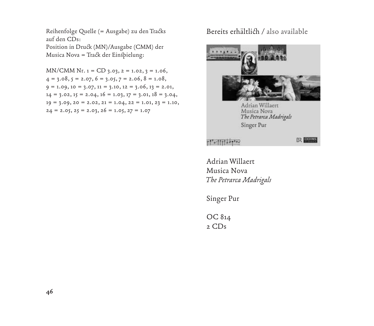Reihenfolge Quelle (= Ausgabe) zu den Tracks Bereits erhältlich / also available auf den CDs: Position in Druck (MN)/Ausgabe (CMM) der

Musica Nova = Track der Einspielung:

 $MN/CMM Nr. 1 = CD 3.03, 2 = 1.02, 3 = 1.06,$  $4 = 3.08$ ,  $5 = 2.07$ ,  $6 = 3.05$ ,  $7 = 2.06$ ,  $8 = 1.08$ ,  $9 = 1.09, 10 = 3.07, 11 = 3.10, 12 = 3.06, 13 = 2.01,$  $14 = 3.02, 15 = 2.04, 16 = 1.03, 17 = 3.01, 18 = 3.04,$  $19 = 3.09, 20 = 2.02, 21 = 1.04, 22 = 1.01, 23 = 1.10,$  $24 = 2.05, 25 = 2.03, 26 = 1.05, 27 = 1.07$ 



Adrian Willaert Musica Nova *The Petrarca Madrigals*

Singer Pur

OC 814 2 CDs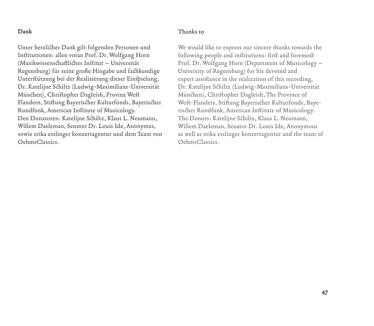#### **Dank**

#### **Thanks to**

Unser herzlicher Dank gilt folgenden Personen und Institutionen: allen voran Prof. Dr. Wolfgang Horn (Musikwissenschaftliches Institut – Universität Regensburg) für seine große Hingabe und fachkundige Unterstützung bei der Realisierung dieser Einspielung, Dr. Katelijne Schiltz (Ludwig-Maximilians-Universität München), Christopher Dagleish, Provinz West Flandern, Stiftung Bayerischer Kulturfonds, Bayerischer Rundfunk, American Institute of Musicology. Den Donatoren: Katelijne Schiltz, Klaus L. Neumann, Willem Daeleman, Senator Dr. Louis Ide, Anonymus, sowie erika esslinger konzertagentur und dem Team von OehmsClassics.

We would like to express our sincere thanks towards the following people and institutions: first and foremost Prof. Dr. Wolfgang Horn (Department of Musicology – University of Regensburg) for his devoted and expert assistance in the realization of this recording, Dr. Katelijne Schiltz (Ludwig-Maximilians-Universität München), Christopher Dagleish, The Province of West-Flanders, Stiftung Bayerischer Kulturfonds, Bayerischer Rundfunk, American Institute of Musicology. The Donors: Katelijne Schiltz, Klaus L. Neumann, Willem Daeleman, Senator Dr. Louis Ide, Anonymous as well as erika esslinger konzertagentur and the team of OehmsClassics.